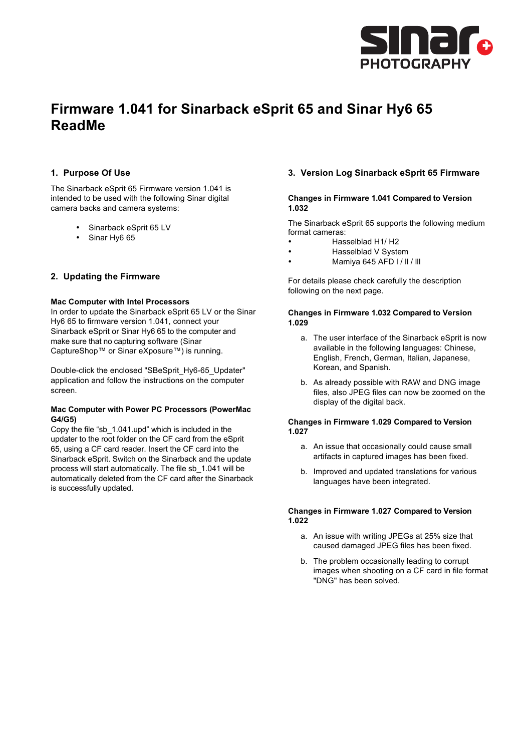

# **Firmware 1.041 for Sinarback eSprit 65 and Sinar Hy6 65 ReadMe**

## **1. Purpose Of Use**

The Sinarback eSprit 65 Firmware version 1.041 is intended to be used with the following Sinar digital camera backs and camera systems:

- Sinarback eSprit 65 LV
- Sinar Hy6 65

## **2. Updating the Firmware**

#### **Mac Computer with Intel Processors**

In order to update the Sinarback eSprit 65 LV or the Sinar Hy6 65 to firmware version 1.041, connect your Sinarback eSprit or Sinar Hy6 65 to the computer and make sure that no capturing software (Sinar CaptureShop™ or Sinar eXposure™) is running.

Double-click the enclosed "SBeSprit\_Hy6-65\_Updater" application and follow the instructions on the computer screen.

#### **Mac Computer with Power PC Processors (PowerMac G4/G5)**

Copy the file "sb\_1.041.upd" which is included in the updater to the root folder on the CF card from the eSprit 65, using a CF card reader. Insert the CF card into the Sinarback eSprit. Switch on the Sinarback and the update process will start automatically. The file sb\_1.041 will be automatically deleted from the CF card after the Sinarback is successfully updated.

## **3. Version Log Sinarback eSprit 65 Firmware**

#### **Changes in Firmware 1.041 Compared to Version 1.032**

The Sinarback eSprit 65 supports the following medium format cameras:

- Hasselblad H1/ H2
- Hasselblad V System
- Mamiya 645 AFD l / ll / lll

For details please check carefully the description following on the next page.

#### **Changes in Firmware 1.032 Compared to Version 1.029**

- a. The user interface of the Sinarback eSprit is now available in the following languages: Chinese, English, French, German, Italian, Japanese, Korean, and Spanish.
- b. As already possible with RAW and DNG image files, also JPEG files can now be zoomed on the display of the digital back.

#### **Changes in Firmware 1.029 Compared to Version 1.027**

- a. An issue that occasionally could cause small artifacts in captured images has been fixed.
- b. Improved and updated translations for various languages have been integrated.

#### **Changes in Firmware 1.027 Compared to Version 1.022**

- a. An issue with writing JPEGs at 25% size that caused damaged JPEG files has been fixed.
- b. The problem occasionally leading to corrupt images when shooting on a CF card in file format "DNG" has been solved.